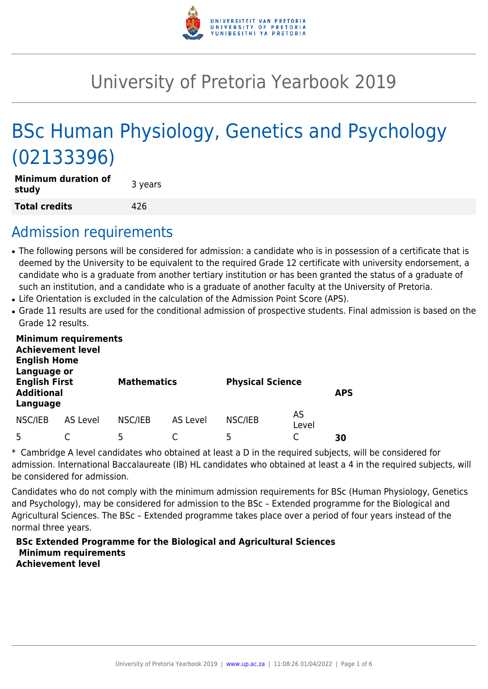

# University of Pretoria Yearbook 2019

# BSc Human Physiology, Genetics and Psychology (02133396)

| <b>Minimum duration of</b><br>study | 3 years |
|-------------------------------------|---------|
| <b>Total credits</b>                | 426     |

# Admission requirements

- The following persons will be considered for admission: a candidate who is in possession of a certificate that is deemed by the University to be equivalent to the required Grade 12 certificate with university endorsement, a candidate who is a graduate from another tertiary institution or has been granted the status of a graduate of such an institution, and a candidate who is a graduate of another faculty at the University of Pretoria.
- Life Orientation is excluded in the calculation of the Admission Point Score (APS).
- Grade 11 results are used for the conditional admission of prospective students. Final admission is based on the Grade 12 results.

| <b>Minimum requirements</b><br><b>Achievement level</b><br><b>English Home</b><br>Language or |          |                    |          |                         |             |            |  |  |  |  |  |
|-----------------------------------------------------------------------------------------------|----------|--------------------|----------|-------------------------|-------------|------------|--|--|--|--|--|
| <b>English First</b><br><b>Additional</b><br>Language                                         |          | <b>Mathematics</b> |          | <b>Physical Science</b> |             | <b>APS</b> |  |  |  |  |  |
| NSC/IEB                                                                                       | AS Level | NSC/IEB            | AS Level | NSC/IEB                 | AS<br>Level |            |  |  |  |  |  |
| 5                                                                                             |          | 5                  |          | 5                       |             | 30         |  |  |  |  |  |

\* Cambridge A level candidates who obtained at least a D in the required subjects, will be considered for admission. International Baccalaureate (IB) HL candidates who obtained at least a 4 in the required subjects, will be considered for admission.

Candidates who do not comply with the minimum admission requirements for BSc (Human Physiology, Genetics and Psychology), may be considered for admission to the BSc – Extended programme for the Biological and Agricultural Sciences. The BSc – Extended programme takes place over a period of four years instead of the normal three years.

#### **BSc Extended Programme for the Biological and Agricultural Sciences Minimum requirements Achievement level**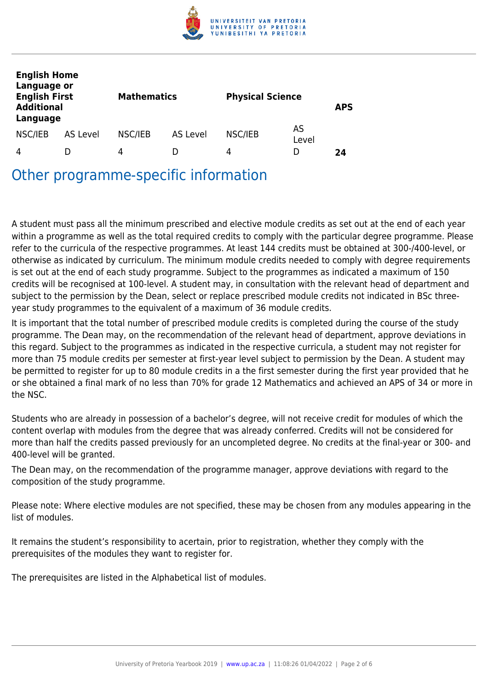

| <b>English Home</b><br>Language or<br><b>English First</b><br><b>Additional</b><br>Language |          | <b>Mathematics</b> |          | <b>Physical Science</b> |             | <b>APS</b> |
|---------------------------------------------------------------------------------------------|----------|--------------------|----------|-------------------------|-------------|------------|
| NSC/IEB                                                                                     | AS Level | NSC/IEB            | AS Level | NSC/IEB                 | AS<br>Level |            |
| 4                                                                                           |          | 4                  | D        | 4                       | D           | 24         |

Other programme-specific information

A student must pass all the minimum prescribed and elective module credits as set out at the end of each year within a programme as well as the total required credits to comply with the particular degree programme. Please refer to the curricula of the respective programmes. At least 144 credits must be obtained at 300-/400-level, or otherwise as indicated by curriculum. The minimum module credits needed to comply with degree requirements is set out at the end of each study programme. Subject to the programmes as indicated a maximum of 150 credits will be recognised at 100-level. A student may, in consultation with the relevant head of department and subject to the permission by the Dean, select or replace prescribed module credits not indicated in BSc threeyear study programmes to the equivalent of a maximum of 36 module credits.

It is important that the total number of prescribed module credits is completed during the course of the study programme. The Dean may, on the recommendation of the relevant head of department, approve deviations in this regard. Subject to the programmes as indicated in the respective curricula, a student may not register for more than 75 module credits per semester at first-year level subject to permission by the Dean. A student may be permitted to register for up to 80 module credits in a the first semester during the first year provided that he or she obtained a final mark of no less than 70% for grade 12 Mathematics and achieved an APS of 34 or more in the NSC.

Students who are already in possession of a bachelor's degree, will not receive credit for modules of which the content overlap with modules from the degree that was already conferred. Credits will not be considered for more than half the credits passed previously for an uncompleted degree. No credits at the final-year or 300- and 400-level will be granted.

The Dean may, on the recommendation of the programme manager, approve deviations with regard to the composition of the study programme.

Please note: Where elective modules are not specified, these may be chosen from any modules appearing in the list of modules.

It remains the student's responsibility to acertain, prior to registration, whether they comply with the prerequisites of the modules they want to register for.

The prerequisites are listed in the Alphabetical list of modules.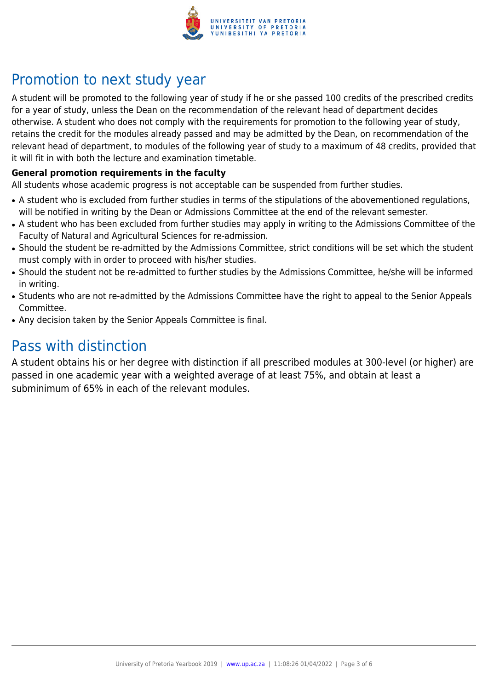

# Promotion to next study year

A student will be promoted to the following year of study if he or she passed 100 credits of the prescribed credits for a year of study, unless the Dean on the recommendation of the relevant head of department decides otherwise. A student who does not comply with the requirements for promotion to the following year of study, retains the credit for the modules already passed and may be admitted by the Dean, on recommendation of the relevant head of department, to modules of the following year of study to a maximum of 48 credits, provided that it will fit in with both the lecture and examination timetable.

#### **General promotion requirements in the faculty**

All students whose academic progress is not acceptable can be suspended from further studies.

- A student who is excluded from further studies in terms of the stipulations of the abovementioned regulations, will be notified in writing by the Dean or Admissions Committee at the end of the relevant semester.
- A student who has been excluded from further studies may apply in writing to the Admissions Committee of the Faculty of Natural and Agricultural Sciences for re-admission.
- Should the student be re-admitted by the Admissions Committee, strict conditions will be set which the student must comply with in order to proceed with his/her studies.
- Should the student not be re-admitted to further studies by the Admissions Committee, he/she will be informed in writing.
- Students who are not re-admitted by the Admissions Committee have the right to appeal to the Senior Appeals Committee.
- Any decision taken by the Senior Appeals Committee is final.

## Pass with distinction

A student obtains his or her degree with distinction if all prescribed modules at 300-level (or higher) are passed in one academic year with a weighted average of at least 75%, and obtain at least a subminimum of 65% in each of the relevant modules.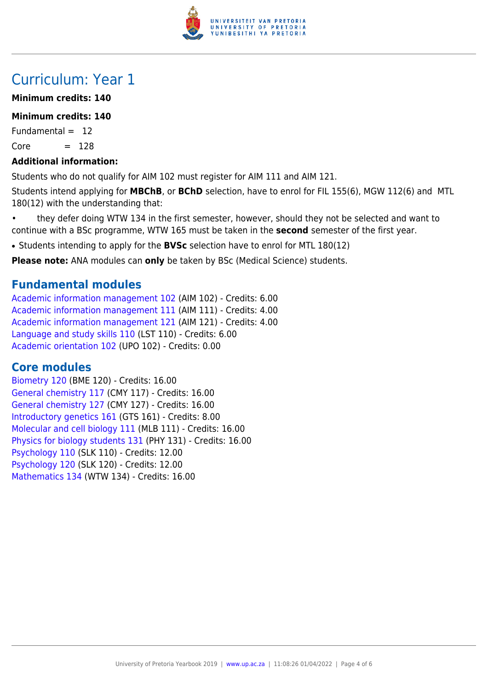

# Curriculum: Year 1

### **Minimum credits: 140**

### **Minimum credits: 140**

Fundamental  $= 12$  $Core = 128$ 

### **Additional information:**

Students who do not qualify for AIM 102 must register for AIM 111 and AIM 121.

Students intend applying for **MBChB**, or **BChD** selection, have to enrol for FIL 155(6), MGW 112(6) and MTL 180(12) with the understanding that:

- they defer doing WTW 134 in the first semester, however, should they not be selected and want to continue with a BSc programme, WTW 165 must be taken in the **second** semester of the first year.
- Students intending to apply for the **BVSc** selection have to enrol for MTL 180(12)

**Please note:** ANA modules can **only** be taken by BSc (Medical Science) students.

### **Fundamental modules**

[Academic information management 102](https://www.up.ac.za/yearbooks/2019/modules/view/AIM 102) (AIM 102) - Credits: 6.00 [Academic information management 111](https://www.up.ac.za/yearbooks/2019/modules/view/AIM 111) (AIM 111) - Credits: 4.00 [Academic information management 121](https://www.up.ac.za/yearbooks/2019/modules/view/AIM 121) (AIM 121) - Credits: 4.00 [Language and study skills 110](https://www.up.ac.za/yearbooks/2019/modules/view/LST 110) (LST 110) - Credits: 6.00 [Academic orientation 102](https://www.up.ac.za/yearbooks/2019/modules/view/UPO 102) (UPO 102) - Credits: 0.00

## **Core modules**

[Biometry 120](https://www.up.ac.za/yearbooks/2019/modules/view/BME 120) (BME 120) - Credits: 16.00 [General chemistry 117](https://www.up.ac.za/yearbooks/2019/modules/view/CMY 117) (CMY 117) - Credits: 16.00 [General chemistry 127](https://www.up.ac.za/yearbooks/2019/modules/view/CMY 127) (CMY 127) - Credits: 16.00 [Introductory genetics 161](https://www.up.ac.za/yearbooks/2019/modules/view/GTS 161) (GTS 161) - Credits: 8.00 [Molecular and cell biology 111](https://www.up.ac.za/yearbooks/2019/modules/view/MLB 111) (MLB 111) - Credits: 16.00 [Physics for biology students 131](https://www.up.ac.za/yearbooks/2019/modules/view/PHY 131) (PHY 131) - Credits: 16.00 [Psychology 110](https://www.up.ac.za/yearbooks/2019/modules/view/SLK 110) (SLK 110) - Credits: 12.00 [Psychology 120](https://www.up.ac.za/yearbooks/2019/modules/view/SLK 120) (SLK 120) - Credits: 12.00 [Mathematics 134](https://www.up.ac.za/yearbooks/2019/modules/view/WTW 134) (WTW 134) - Credits: 16.00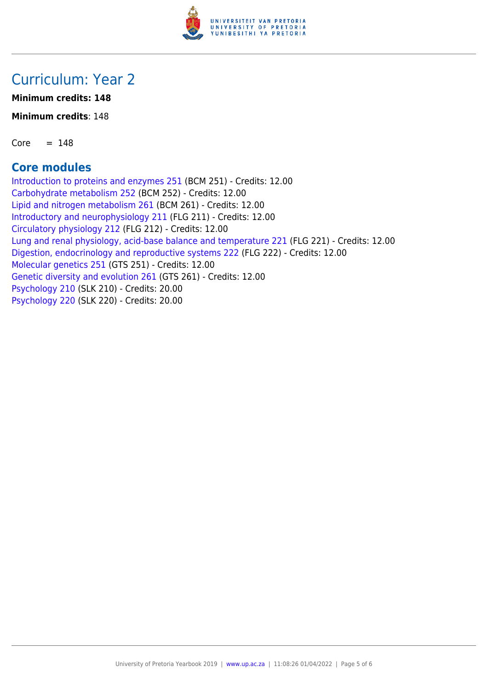

# Curriculum: Year 2

**Minimum credits: 148**

**Minimum credits**: 148

 $Core = 148$ 

## **Core modules**

[Introduction to proteins and enzymes 251](https://www.up.ac.za/yearbooks/2019/modules/view/BCM 251) (BCM 251) - Credits: 12.00 [Carbohydrate metabolism 252](https://www.up.ac.za/yearbooks/2019/modules/view/BCM 252) (BCM 252) - Credits: 12.00 [Lipid and nitrogen metabolism 261](https://www.up.ac.za/yearbooks/2019/modules/view/BCM 261) (BCM 261) - Credits: 12.00 [Introductory and neurophysiology 211](https://www.up.ac.za/yearbooks/2019/modules/view/FLG 211) (FLG 211) - Credits: 12.00 [Circulatory physiology 212](https://www.up.ac.za/yearbooks/2019/modules/view/FLG 212) (FLG 212) - Credits: 12.00 [Lung and renal physiology, acid-base balance and temperature 221](https://www.up.ac.za/yearbooks/2019/modules/view/FLG 221) (FLG 221) - Credits: 12.00 [Digestion, endocrinology and reproductive systems 222](https://www.up.ac.za/yearbooks/2019/modules/view/FLG 222) (FLG 222) - Credits: 12.00 [Molecular genetics 251](https://www.up.ac.za/yearbooks/2019/modules/view/GTS 251) (GTS 251) - Credits: 12.00 [Genetic diversity and evolution 261](https://www.up.ac.za/yearbooks/2019/modules/view/GTS 261) (GTS 261) - Credits: 12.00 [Psychology 210](https://www.up.ac.za/yearbooks/2019/modules/view/SLK 210) (SLK 210) - Credits: 20.00 [Psychology 220](https://www.up.ac.za/yearbooks/2019/modules/view/SLK 220) (SLK 220) - Credits: 20.00